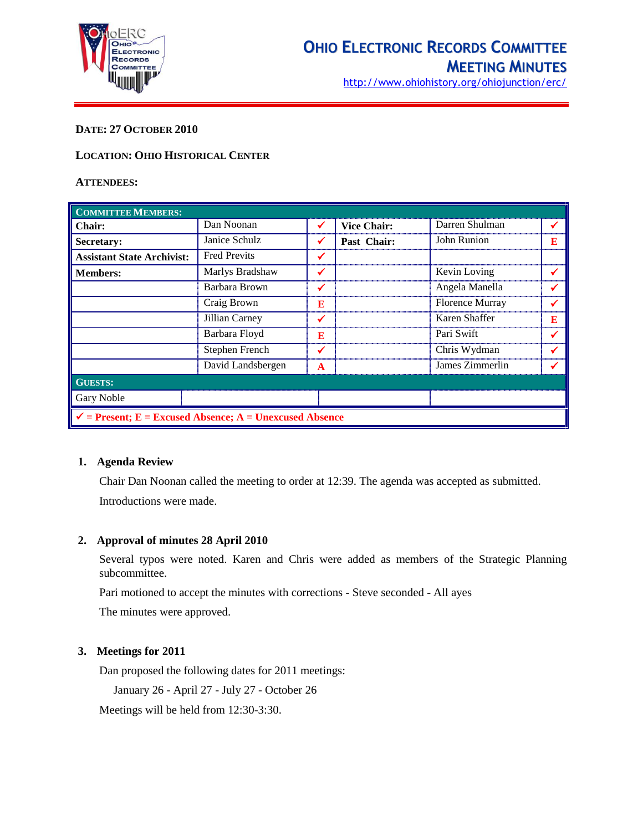

### **DATE: 27 OCTOBER 2010**

#### **LOCATION: OHIO HISTORICAL CENTER**

#### **ATTENDEES:**

| <b>COMMITTEE MEMBERS:</b>                                          |                     |   |                    |                        |   |  |
|--------------------------------------------------------------------|---------------------|---|--------------------|------------------------|---|--|
| <b>Chair:</b>                                                      | Dan Noonan          | ✔ | <b>Vice Chair:</b> | Darren Shulman         |   |  |
| Secretary:                                                         | Janice Schulz       | ✔ | Past Chair:        | <b>John Runion</b>     | E |  |
| <b>Assistant State Archivist:</b>                                  | <b>Fred Previts</b> | ✔ |                    |                        |   |  |
| <b>Members:</b>                                                    | Marlys Bradshaw     |   |                    | Kevin Loving           |   |  |
|                                                                    | Barbara Brown       |   |                    | Angela Manella         |   |  |
|                                                                    | Craig Brown         | E |                    | <b>Florence Murray</b> |   |  |
|                                                                    | Jillian Carney      | ✔ |                    | Karen Shaffer          | Е |  |
|                                                                    | Barbara Floyd       | E |                    | Pari Swift             |   |  |
|                                                                    | Stephen French      |   |                    | Chris Wydman           |   |  |
|                                                                    | David Landsbergen   | A |                    | James Zimmerlin        |   |  |
| <b>GUESTS:</b>                                                     |                     |   |                    |                        |   |  |
| Gary Noble                                                         |                     |   |                    |                        |   |  |
| $\checkmark$ = Present; E = Excused Absence; A = Unexcused Absence |                     |   |                    |                        |   |  |

#### **1. Agenda Review**

Chair Dan Noonan called the meeting to order at 12:39. The agenda was accepted as submitted. Introductions were made.

### **2. Approval of minutes 28 April 2010**

Several typos were noted. Karen and Chris were added as members of the Strategic Planning subcommittee.

Pari motioned to accept the minutes with corrections - Steve seconded - All ayes

The minutes were approved.

### **3. Meetings for 2011**

Dan proposed the following dates for 2011 meetings:

January 26 - April 27 - July 27 - October 26

Meetings will be held from 12:30-3:30.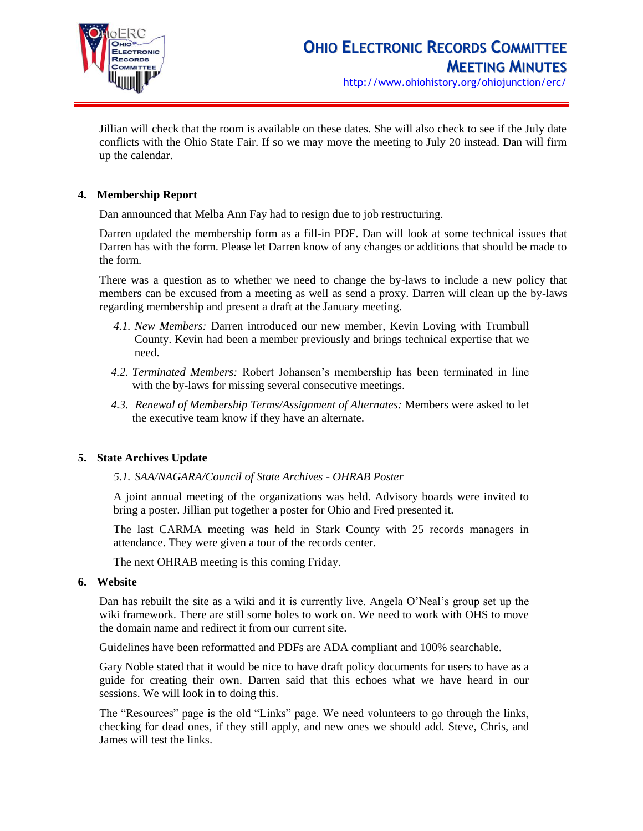

Jillian will check that the room is available on these dates. She will also check to see if the July date conflicts with the Ohio State Fair. If so we may move the meeting to July 20 instead. Dan will firm up the calendar.

# **4. Membership Report**

Dan announced that Melba Ann Fay had to resign due to job restructuring.

Darren updated the membership form as a fill-in PDF. Dan will look at some technical issues that Darren has with the form. Please let Darren know of any changes or additions that should be made to the form.

There was a question as to whether we need to change the by-laws to include a new policy that members can be excused from a meeting as well as send a proxy. Darren will clean up the by-laws regarding membership and present a draft at the January meeting.

- *4.1. New Members:* Darren introduced our new member, Kevin Loving with Trumbull County. Kevin had been a member previously and brings technical expertise that we need.
- *4.2. Terminated Members:* Robert Johansen's membership has been terminated in line with the by-laws for missing several consecutive meetings.
- *4.3. Renewal of Membership Terms/Assignment of Alternates:* Members were asked to let the executive team know if they have an alternate.

### **5. State Archives Update**

*5.1. SAA/NAGARA/Council of State Archives - OHRAB Poster* 

A joint annual meeting of the organizations was held. Advisory boards were invited to bring a poster. Jillian put together a poster for Ohio and Fred presented it.

The last CARMA meeting was held in Stark County with 25 records managers in attendance. They were given a tour of the records center.

The next OHRAB meeting is this coming Friday.

#### **6. Website**

Dan has rebuilt the site as a wiki and it is currently live. Angela O'Neal's group set up the wiki framework. There are still some holes to work on. We need to work with OHS to move the domain name and redirect it from our current site.

Guidelines have been reformatted and PDFs are ADA compliant and 100% searchable.

Gary Noble stated that it would be nice to have draft policy documents for users to have as a guide for creating their own. Darren said that this echoes what we have heard in our sessions. We will look in to doing this.

The "Resources" page is the old "Links" page. We need volunteers to go through the links, checking for dead ones, if they still apply, and new ones we should add. Steve, Chris, and James will test the links.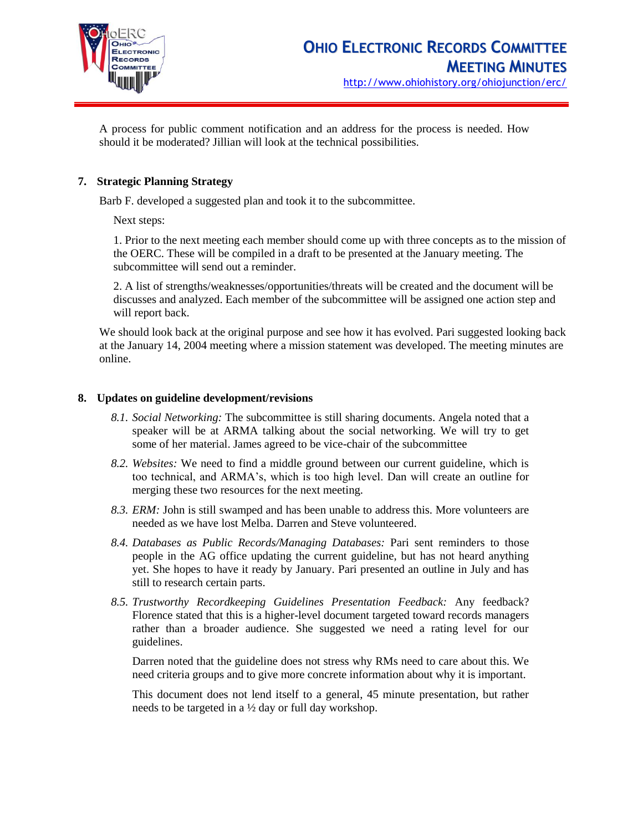

A process for public comment notification and an address for the process is needed. How should it be moderated? Jillian will look at the technical possibilities.

# **7. Strategic Planning Strategy**

Barb F. developed a suggested plan and took it to the subcommittee.

Next steps:

1. Prior to the next meeting each member should come up with three concepts as to the mission of the OERC. These will be compiled in a draft to be presented at the January meeting. The subcommittee will send out a reminder.

2. A list of strengths/weaknesses/opportunities/threats will be created and the document will be discusses and analyzed. Each member of the subcommittee will be assigned one action step and will report back.

We should look back at the original purpose and see how it has evolved. Pari suggested looking back at the January 14, 2004 meeting where a mission statement was developed. The meeting minutes are online.

### **8. Updates on guideline development/revisions**

- *8.1. Social Networking:* The subcommittee is still sharing documents. Angela noted that a speaker will be at ARMA talking about the social networking. We will try to get some of her material. James agreed to be vice-chair of the subcommittee
- *8.2. Websites:* We need to find a middle ground between our current guideline, which is too technical, and ARMA's, which is too high level. Dan will create an outline for merging these two resources for the next meeting.
- *8.3. ERM:* John is still swamped and has been unable to address this. More volunteers are needed as we have lost Melba. Darren and Steve volunteered.
- *8.4. Databases as Public Records/Managing Databases:* Pari sent reminders to those people in the AG office updating the current guideline, but has not heard anything yet. She hopes to have it ready by January. Pari presented an outline in July and has still to research certain parts.
- *8.5. Trustworthy Recordkeeping Guidelines Presentation Feedback:* Any feedback? Florence stated that this is a higher-level document targeted toward records managers rather than a broader audience. She suggested we need a rating level for our guidelines.

Darren noted that the guideline does not stress why RMs need to care about this. We need criteria groups and to give more concrete information about why it is important.

This document does not lend itself to a general, 45 minute presentation, but rather needs to be targeted in a ½ day or full day workshop.